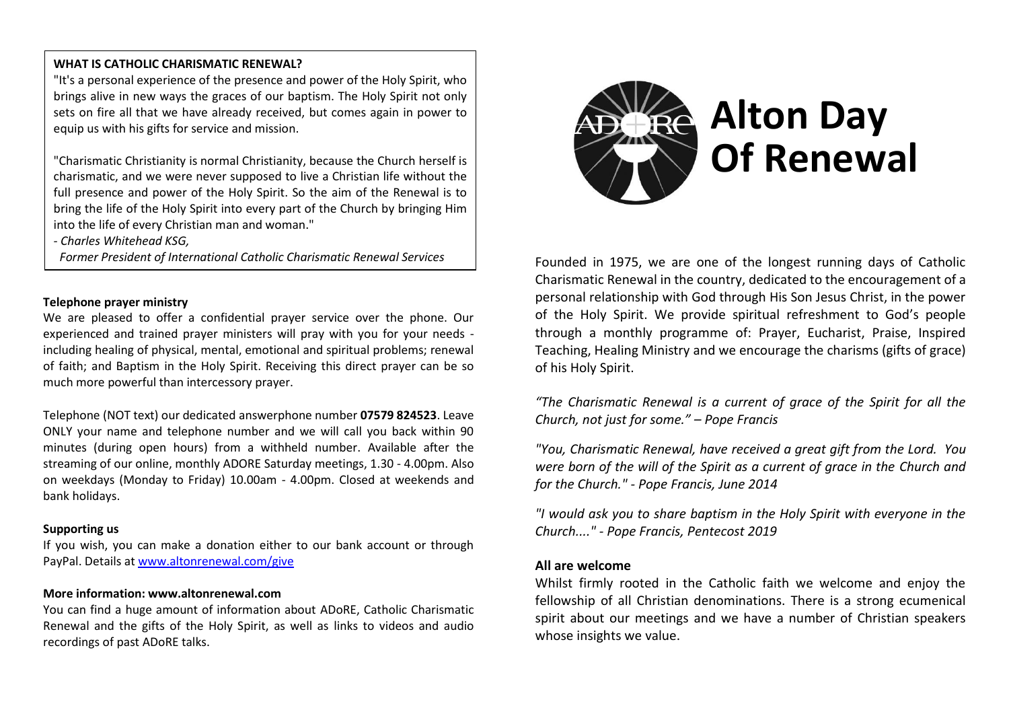## **WHAT IS CATHOLIC CHARISMATIC RENEWAL?**

"It's a personal experience of the presence and power of the Holy Spirit, who brings alive in new ways the graces of our baptism. The Holy Spirit not only sets on fire all that we have already received, but comes again in power to equip us with his gifts for service and mission.

"Charismatic Christianity is normal Christianity, because the Church herself is charismatic, and we were never supposed to live a Christian life without the full presence and power of the Holy Spirit. So the aim of the Renewal is to bring the life of the Holy Spirit into every part of the Church by bringing Him into the life of every Christian man and woman."

*- Charles Whitehead KSG,* 

*Former President of International Catholic Charismatic Renewal Services*

#### **Telephone prayer ministry**

We are pleased to offer a confidential prayer service over the phone. Our experienced and trained prayer ministers will pray with you for your needs including healing of physical, mental, emotional and spiritual problems; renewal of faith; and Baptism in the Holy Spirit. Receiving this direct prayer can be so much more powerful than intercessory prayer.

Telephone (NOT text) our dedicated answerphone number **07579 824523**. Leave ONLY your name and telephone number and we will call you back within 90 minutes (during open hours) from a withheld number. Available after the streaming of our online, monthly ADORE Saturday meetings, 1.30 - 4.00pm. Also on weekdays (Monday to Friday) 10.00am - 4.00pm. Closed at weekends and bank holidays.

#### **Supporting us**

If you wish, you can make a donation either to our bank account or through PayPal. Details at [www.altonrenewal.com/give](http://www.altonrenewal.com/give)

#### **More information: www.altonrenewal.com**

You can find a huge amount of information about ADoRE, Catholic Charismatic Renewal and the gifts of the Holy Spirit, as well as links to videos and audio recordings of past ADoRE talks.



Founded in 1975, we are one of the longest running days of Catholic Charismatic Renewal in the country, dedicated to the encouragement of a personal relationship with God through His Son Jesus Christ, in the power of the Holy Spirit. We provide spiritual refreshment to God's people through a monthly programme of: Prayer, Eucharist, Praise, Inspired Teaching, Healing Ministry and we encourage the charisms (gifts of grace) of his Holy Spirit.

*"The Charismatic Renewal is a current of grace of the Spirit for all the Church, not just for some." – Pope Francis*

*"You, Charismatic Renewal, have received a great gift from the Lord. You were born of the will of the Spirit as a current of grace in the Church and for the Church." - Pope Francis, June 2014*

*"I would ask you to share baptism in the Holy Spirit with everyone in the Church...." - Pope Francis, Pentecost 2019*

### **All are welcome**

Whilst firmly rooted in the Catholic faith we welcome and enjoy the fellowship of all Christian denominations. There is a strong ecumenical spirit about our meetings and we have a number of Christian speakers whose insights we value.